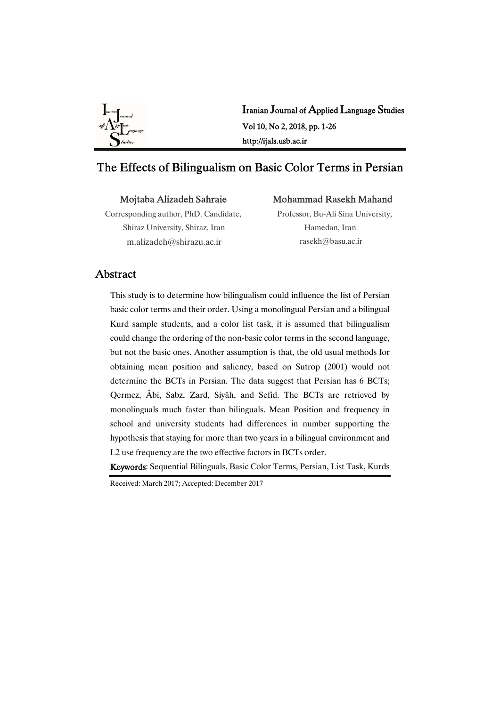

Iranian Journal of Applied Language Studies Vol10,No2,2018,pp.1-26 http://ijals.usb.ac.ir

# The Effects of Bilingualism on Basic Color Terms in Persian

Mojtaba Alizadeh Sahraie

Mohammad Rasekh Mahand

Corresponding author, PhD. Candidate, Shiraz University, Shiraz, Iran m.alizadeh@shirazu.ac.ir

Professor, Bu-Ali Sina University, Hamedan, Iran rasekh@basu.ac.ir

### Abstract

This study is to determine how bilingualism could influence the list of Persian basic color terms and their order. Using a monolingual Persian and a bilingual Kurd sample students, and a color list task, it is assumed that bilingualism could change the ordering of the non-basic color terms in the second language, but not the basic ones. Another assumption is that, the old usual methods for obtaining mean position and saliency, based on Sutrop (2001) would not determine the BCTs in Persian. The data suggest that Persian has 6 BCTs; Qermez, Âbi, Sabz, Zard, Siyâh, and Sefid. The BCTs are retrieved by monolinguals much faster than bilinguals. Mean Position and frequency in school and university students had differences in number supporting the hypothesis that staying for more than two years in a bilingual environment and L2 use frequency are the two effective factors in BCTs order.

Keywords: Sequential Bilinguals, Basic Color Terms, Persian, List Task, Kurds

Received: March 2017; Accepted: December 2017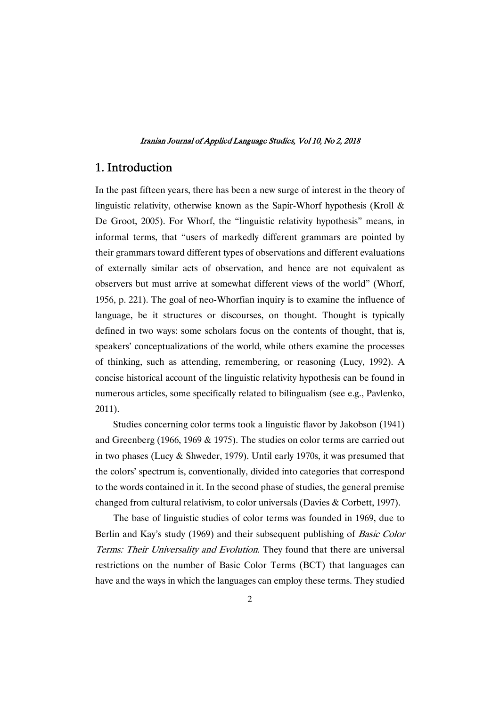## 1. Introduction

In the past fifteen years, there has been a new surge of interest in the theory of linguistic relativity, otherwise known as the Sapir-Whorf hypothesis (Kroll  $\&$ De Groot, 2005). For Whorf, the "linguistic relativity hypothesis" means, in informal terms, that "users of markedly different grammars are pointed by their grammars toward different types of observations and different evaluations of externally similar acts of observation, and hence are not equivalent as observers but must arrive at somewhat different views of the world" (Whorf, 1956, p. 221). The goal of neo-Whorfian inquiry is to examine the influence of language, be it structures or discourses, on thought. Thought is typically defined in two ways: some scholars focus on the contents of thought, that is, speakers' conceptualizations of the world, while others examine the processes of thinking, such as attending, remembering, or reasoning (Lucy, 1992). A concise historical account of the linguistic relativity hypothesis can be found in numerous articles, some specifically related to bilingualism (see e.g., Pavlenko, 2011).

Studies concerning color terms took a linguistic flavor by Jakobson (1941) and Greenberg (1966, 1969  $&$  1975). The studies on color terms are carried out in two phases (Lucy  $&$  Shweder, 1979). Until early 1970s, it was presumed that the colors' spectrum is, conventionally, divided into categories that correspond to the words contained in it. In the second phase of studies, the general premise changed from cultural relativism, to color universals (Davies & Corbett, 1997).

The base of linguistic studies of color terms was founded in 1969, due to Berlin and Kay's study (1969) and their subsequent publishing of *Basic Color* Terms: Their Universality and Evolution. They found that there are universal restrictions on the number of Basic Color Terms (BCT) that languages can have and the ways in which the languages can employ these terms. They studied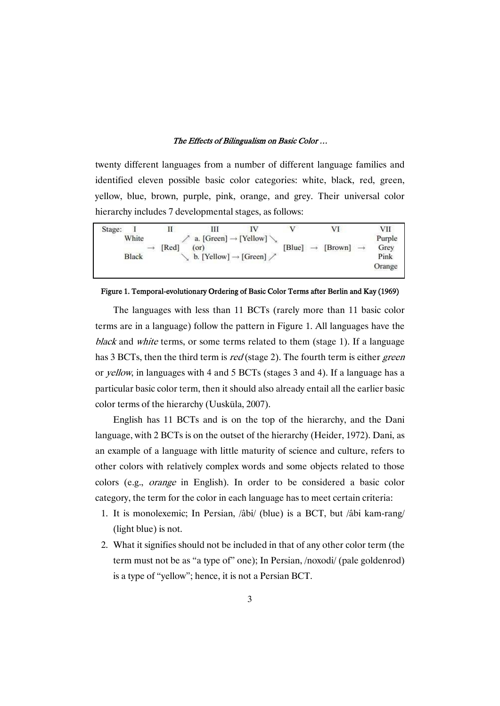twenty different languages from a number of different language families and identified eleven possible basic color categories: white, black, red, green, yellow, blue, brown, purple, pink, orange, and grey. Their universal color hierarchy includes 7 developmental stages, as follows:

| Stage:       | $\mathbf{I}$ |                                              | $\mathbf{V}$ | VI                       | VII    |
|--------------|--------------|----------------------------------------------|--------------|--------------------------|--------|
| White        |              | a. [Green] $\rightarrow$ [Yellow]            |              |                          | Purple |
|              | [Red]        | (or)                                         | [Blue]       | [Brown]<br>$\rightarrow$ | Grey   |
| <b>Black</b> |              | b. [Yellow] $\rightarrow$ [Green] $\nearrow$ |              |                          | Pink   |
|              |              |                                              |              |                          | Orange |
|              |              |                                              |              |                          |        |

### Figure 1. Temporal-evolutionary Ordering of Basic Color Terms after Berlin and Kay (1969)

The languages with less than 11 BCTs (rarely more than 11 basic color terms are in a language) follow the pattern in Figure 1. All languages have the black and white terms, or some terms related to them (stage 1). If a language has 3 BCTs, then the third term is red (stage 2). The fourth term is either green or *yellow*, in languages with 4 and 5 BCTs (stages 3 and 4). If a language has a particular basic color term, then it should also already entail all the earlier basic color terms of the hierarchy (Uusküla, 2007).

English has 11 BCTs and is on the top of the hierarchy, and the Dani language, with 2 BCTs is on the outset of the hierarchy (Heider, 1972). Dani, as an example of a language with little maturity of science and culture, refers to other colors with relatively complex words and some objects related to those colors (e.g., orange in English). In order to be considered a basic color category, the term for the color in each language has to meet certain criteria:

- 1. It is monolexemic; In Persian, /âbi/ (blue) is a BCT, but /âbi kam-rang/  $(light blue)$  is not.
- 2. What it signifies should not be included in that of any other color term (the term must not be as "a type of" one); In Persian,  $/noxodi/(pale \text{ goldenrod})$ is a type of "yellow"; hence, it is not a Persian BCT.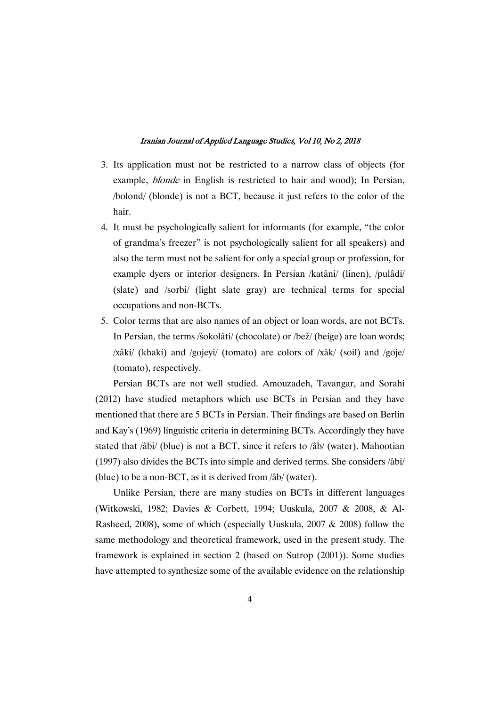- 3. Its application must not be restricted to a narrow class of objects (for example, blonde in English is restricted to hair and wood); In Persian, /bolond/ (blonde) is not a BCT, because it just refers to the color of the hair.
- 4. It must be psychologically salient for informants (for example, "the color of grandma's freezer" is not psychologically salient for all speakers) and also the term must not be salient for only a special group or profession, for example dyers or interior designers. In Persian /katâni/ (linen), /pulâdi/ (slate) and /sorbi/ (light slate gray) are technical terms for special occupations and non-BCTs.
- 5. Color terms that are also names of an object or loan words, are not BCTs. In Persian, the terms /šokolâti/ (chocolate) or /bež/ (beige) are loan words; /xâki/ (khaki) and /gojeyi/ (tomato) are colors of /xâk/ (soil) and /goje/ (tomato), respectively.

Persian BCTs are not well studied. Amouzadeh, Tavangar, and Sorahi (2012) have studied metaphors which use BCTs in Persian and they have mentioned that there are 5 BCTs in Persian. Their findings are based on Berlin and Kay's (1969) linguistic criteria in determining BCTs. Accordingly they have stated that /âbi/ (blue) is not a BCT, since it refers to /âb/ (water). Mahootian (1997) also divides the BCTs into simple and derived terms. She considers /âbi/ (blue) to be a non-BCT, as it is derived from  $\frac{\partial b}{\partial r}$  (water).

Unlike Persian, there are many studies on BCTs in different languages (Witkowski, 1982; Davies & Corbett, 1994; Uuskula, 2007 & 2008, & Al-Rasheed, 2008), some of which (especially Uuskula, 2007  $& 2008$ ) follow the same methodology and theoretical framework, used in the present study. The framework is explained in section 2 (based on Sutrop (2001)). Some studies have attempted to synthesize some of the available evidence on the relationship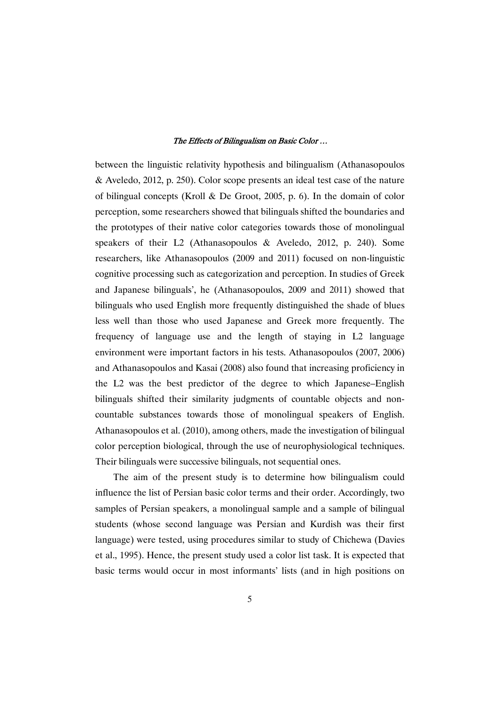between the linguistic relativity hypothesis and bilingualism (Athanasopoulos  $\&$  Aveledo, 2012, p. 250). Color scope presents an ideal test case of the nature of bilingual concepts (Kroll & De Groot, 2005, p. 6). In the domain of color perception, some researchers showed that bilinguals shifted the boundaries and the prototypes of their native color categories towards those of monolingual speakers of their L2 (Athanasopoulos & Aveledo, 2012, p. 240). Some researchers, like Athanasopoulos (2009 and 2011) focused on non-linguistic cognitive processing such as categorization and perception. In studies of Greek and Japanese bilinguals', he (Athanasopoulos, 2009 and 2011) showed that bilinguals who used English more frequently distinguished the shade of blues less well than those who used Japanese and Greek more frequently. The frequency of language use and the length of staying in L2 language environment were important factors in his tests. Athanasopoulos (2007, 2006) and Athanasopoulos and Kasai (2008) also found that increasing proficiency in the L2 was the best predictor of the degree to which Japanese–English bilinguals shifted their similarity judgments of countable objects and noncountable substances towards those of monolingual speakers of English. Athanasopoulos et al. (2010), among others, made the investigation of bilingual color perception biological, through the use of neurophysiological techniques. Their bilinguals were successive bilinguals, not sequential ones.

The aim of the present study is to determine how bilingualism could influence the list of Persian basic color terms and their order. Accordingly, two samples of Persian speakers, a monolingual sample and a sample of bilingual students (whose second language was Persian and Kurdish was their first language) were tested, using procedures similar to study of Chichewa (Davies et al., 1995). Hence, the present study used a color list task. It is expected that basic terms would occur in most informants' lists (and in high positions on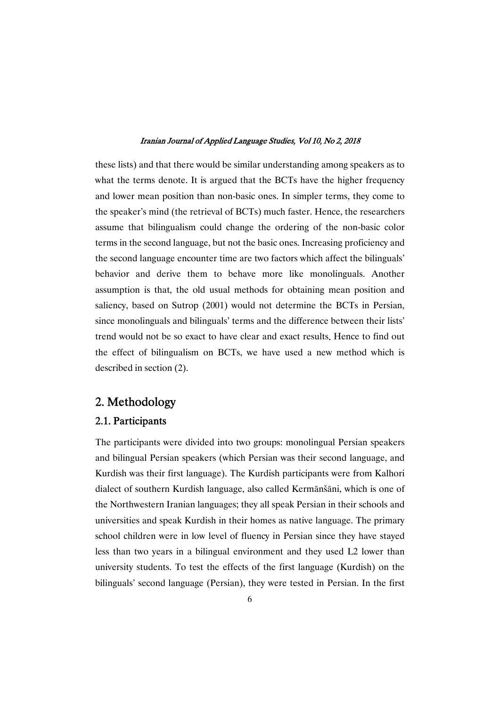these lists) and that there would be similar understanding among speakers as to what the terms denote. It is argued that the BCTs have the higher frequency and lower mean position than non-basic ones. In simpler terms, they come to the speaker's mind (the retrieval of BCTs) much faster. Hence, the researchers assume that bilingualism could change the ordering of the non-basic color terms in the second language, but not the basic ones. Increasing proficiency and the second language encounter time are two factors which affect the bilinguals' behavior and derive them to behave more like monolinguals. Another assumption is that, the old usual methods for obtaining mean position and saliency, based on Sutrop (2001) would not determine the BCTs in Persian, since monolinguals and bilinguals' terms and the difference between their lists' trend would not be so exact to have clear and exact results. Hence to find out the effect of bilingualism on BCTs, we have used a new method which is described in section  $(2)$ .

# 2. Methodology

### 2.1.Participants

The participants were divided into two groups: monolingual Persian speakers and bilingual Persian speakers (which Persian was their second language, and Kurdish was their first language). The Kurdish participants were from Kalhori dialect of southern Kurdish language, also called Kermānšāni, which is one of the Northwestern Iranian languages; they all speak Persian in their schools and universities and speak Kurdish in their homes as native language. The primary school children were in low level of fluency in Persian since they have stayed less than two years in a bilingual environment and they used L2 lower than university students. To test the effects of the first language (Kurdish) on the bilinguals' second language (Persian), they were tested in Persian. In the first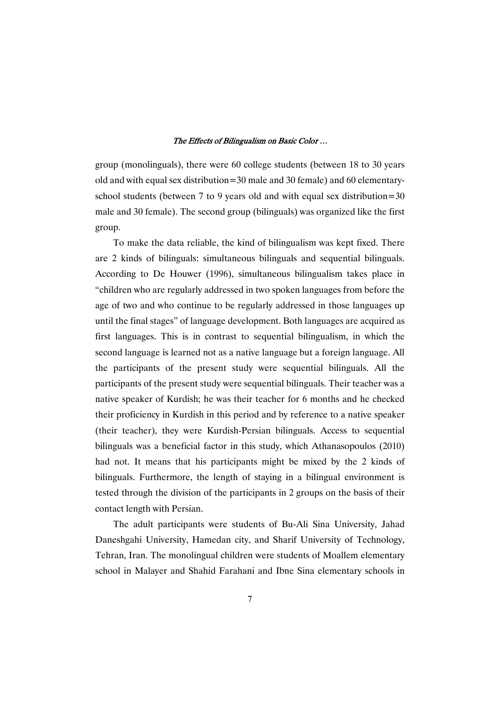group (monolinguals), there were 60 college students (between 18 to 30 years old and with equal sex distribution=30 male and 30 female) and 60 elementaryschool students (between  $7$  to  $9$  years old and with equal sex distribution=30 male and 30 female). The second group (bilinguals) was organized like the first group.

To make the data reliable, the kind of bilingualism was kept fixed. There are 2 kinds of bilinguals: simultaneous bilinguals and sequential bilinguals. According to De Houwer (1996), simultaneous bilingualism takes place in "children who are regularly addressed in two spoken languages from before the age of two and who continue to be regularly addressed in those languages up until the final stages" of language development. Both languages are acquired as first languages. This is in contrast to sequential bilingualism, in which the second language is learned not as a native language but a foreign language. All the participants of the present study were sequential bilinguals. All the participants of the present study were sequential bilinguals. Their teacher was a native speaker of Kurdish; he was their teacher for 6 months and he checked their proficiency in Kurdish in this period and by reference to a native speaker (their teacher), they were Kurdish-Persian bilinguals. Access to sequential bilinguals was a beneficial factor in this study, which Athanasopoulos (2010) had not. It means that his participants might be mixed by the 2 kinds of bilinguals. Furthermore, the length of staying in a bilingual environment is tested through the division of the participants in 2 groups on the basis of their contact length with Persian.

The adult participants were students of Bu-Ali Sina University, Jahad Daneshgahi University, Hamedan city, and Sharif University of Technology, Tehran, Iran. The monolingual children were students of Moallem elementary school in Malayer and Shahid Farahani and Ibne Sina elementary schools in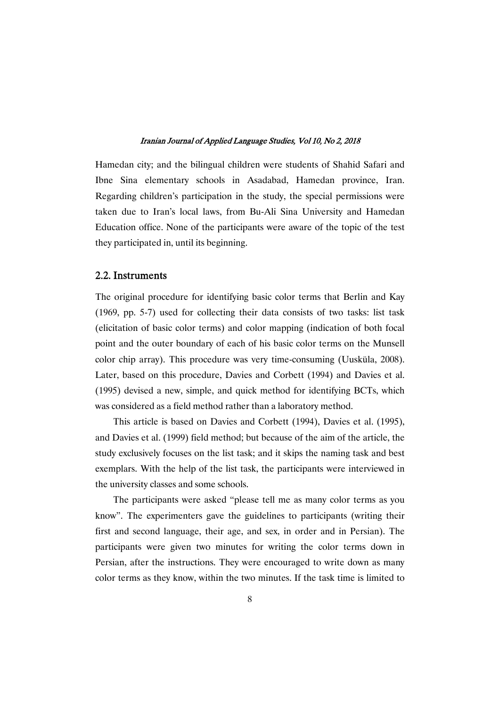Hamedan city; and the bilingual children were students of Shahid Safari and Ibne Sina elementary schools in Asadabad, Hamedan province, Iran. Regarding children's participation in the study, the special permissions were taken due to Iran's local laws, from Bu-Ali Sina University and Hamedan Education office. None of the participants were aware of the topic of the test they participated in, until its beginning.

### 2.2.Instruments

The original procedure for identifying basic color terms that Berlin and Kay (1969, pp. 5-7) used for collecting their data consists of two tasks: list task (elicitation of basic color terms) and color mapping (indication of both focal point and the outer boundary of each of his basic color terms on the Munsell color chip array). This procedure was very time-consuming (Uusküla, 2008). Later, based on this procedure, Davies and Corbett (1994) and Davies et al.  $(1995)$  devised a new, simple, and quick method for identifying BCTs, which was considered as a field method rather than a laboratory method.

This article is based on Davies and Corbett (1994), Davies et al. (1995), and Davies et al. (1999) field method; but because of the aim of the article, the study exclusively focuses on the list task; and it skips the naming task and best exemplars. With the help of the list task, the participants were interviewed in the university classes and some schools.

The participants were asked "please tell me as many color terms as you know". The experimenters gave the guidelines to participants (writing their first and second language, their age, and sex, in order and in Persian). The participants were given two minutes for writing the color terms down in Persian, after the instructions. They were encouraged to write down as many color terms as they know, within the two minutes. If the task time is limited to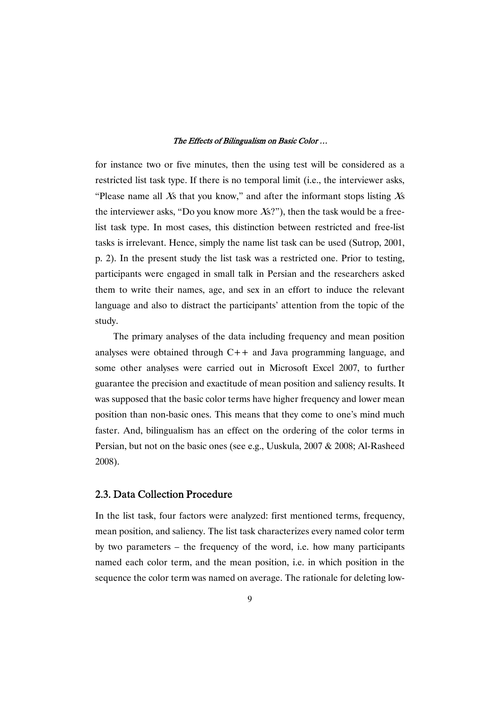for instance two or five minutes, then the using test will be considered as a restricted list task type. If there is no temporal limit (i.e., the interviewer asks, "Please name all Xs that you know," and after the informant stops listing  $Xs$ the interviewer asks, "Do you know more  $Xs$ ?"), then the task would be a freelist task type. In most cases, this distinction between restricted and free-list tasks is irrelevant. Hence, simply the name list task can be used (Sutrop, 2001, p. 2). In the present study the list task was a restricted one. Prior to testing, participants were engaged in small talk in Persian and the researchers asked them to write their names, age, and sex in an effort to induce the relevant language and also to distract the participants' attention from the topic of the study.

The primary analyses of the data including frequency and mean position analyses were obtained through C++ and Java programming language, and some other analyses were carried out in Microsoft Excel 2007, to further guarantee the precision and exactitude of mean position and saliency results. It was supposed that the basic color terms have higher frequency and lower mean position than non-basic ones. This means that they come to one's mind much faster. And, bilingualism has an effect on the ordering of the color terms in Persian, but not on the basic ones (see e.g., Uuskula, 2007 & 2008; Al-Rasheed 2008).

## 2.3. Data Collection Procedure

In the list task, four factors were analyzed: first mentioned terms, frequency, mean position, and saliency. The list task characterizes every named color term by two parameters – the frequency of the word, i.e. how many participants named each color term, and the mean position, i.e. in which position in the sequence the color term was named on average. The rationale for deleting low-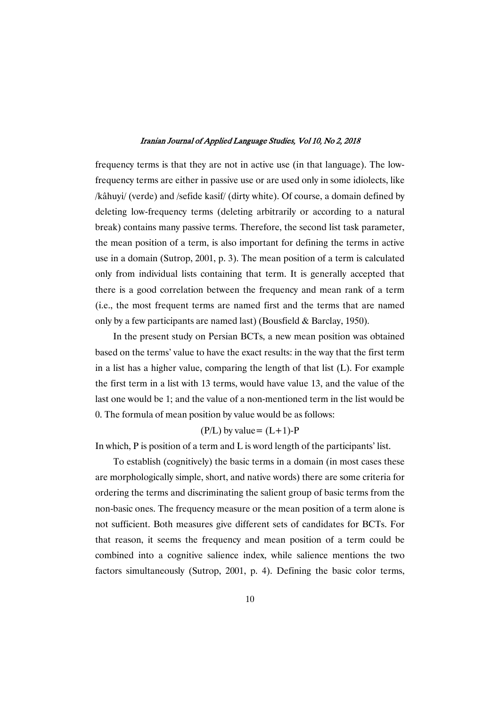frequency terms is that they are not in active use (in that language). The lowfrequency terms are either in passive use or are used only in some idiolects, like /kâhuyi/ (verde) and /sefide kasif/ (dirty white). Of course, a domain defined by deleting low-frequency terms (deleting arbitrarily or according to a natural break) contains many passive terms. Therefore, the second list task parameter, the mean position of a term, is also important for defining the terms in active use in a domain (Sutrop, 2001, p. 3). The mean position of a term is calculated only from individual lists containing that term. It is generally accepted that there is a good correlation between the frequency and mean rank of a term (i.e., the most frequent terms are named first and the terms that are named only by a few participants are named last) (Bousfield  $&$  Barclay, 1950).

In the present study on Persian BCTs, a new mean position was obtained based on the terms' value to have the exact results: in the way that the first term in a list has a higher value, comparing the length of that list  $(L)$ . For example the first term in a list with 13 terms, would have value 13, and the value of the last one would be 1; and the value of a non-mentioned term in the list would be 0. The formula of mean position by value would be as follows:

### $(P/L)$  by value =  $(L+1)$ -P

In which,  $P$  is position of a term and  $L$  is word length of the participants' list.

To establish (cognitively) the basic terms in a domain (in most cases these are morphologically simple, short, and native words) there are some criteria for ordering the terms and discriminating the salient group of basic terms from the non-basic ones. The frequency measure or the mean position of a term alone is not sufficient. Both measures give different sets of candidates for BCTs. For that reason, it seems the frequency and mean position of a term could be combined into a cognitive salience index, while salience mentions the two factors simultaneously (Sutrop, 2001, p. 4). Defining the basic color terms,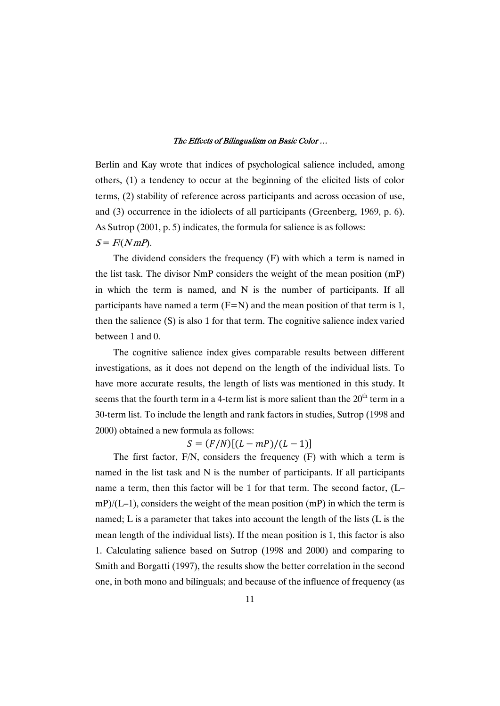Berlin and Kay wrote that indices of psychological salience included, among others, (1) a tendency to occur at the beginning of the elicited lists of color terms, (2) stability of reference across participants and across occasion of use, and  $(3)$  occurrence in the idiolects of all participants (Greenberg, 1969, p. 6). As Sutrop  $(2001, p.5)$  indicates, the formula for salience is as follows:  $S = F/(NmP)$ .

The dividend considers the frequency  $(F)$  with which a term is named in the list task. The divisor  $NmP$  considers the weight of the mean position  $(mP)$ in which the term is named, and N is the number of participants. If all participants have named a term  $(F=N)$  and the mean position of that term is 1, then the salience  $(S)$  is also 1 for that term. The cognitive salience index varied between 1 and 0.

The cognitive salience index gives comparable results between different investigations, as it does not depend on the length of the individual lists. To have more accurate results, the length of lists was mentioned in this study. It seems that the fourth term in a 4-term list is more salient than the  $20<sup>th</sup>$  term in a 30-term list. To include the length and rank factors in studies, Sutrop (1998 and 2000) obtained a new formula as follows:

 $S = (F/N)[(L - mP)/(L - 1)]$ 

The first factor, F/N, considers the frequency (F) with which a term is named in the list task and N is the number of participants. If all participants name a term, then this factor will be 1 for that term. The second factor, (L–  $\text{mP}$ /(L–1), considers the weight of the mean position (mP) in which the term is named; L is a parameter that takes into account the length of the lists (L is the mean length of the individual lists). If the mean position is 1, this factor is also 1. Calculating salience based on Sutrop (1998 and 2000) and comparing to Smith and Borgatti (1997), the results show the better correlation in the second one, in both mono and bilinguals; and because of the influence of frequency (as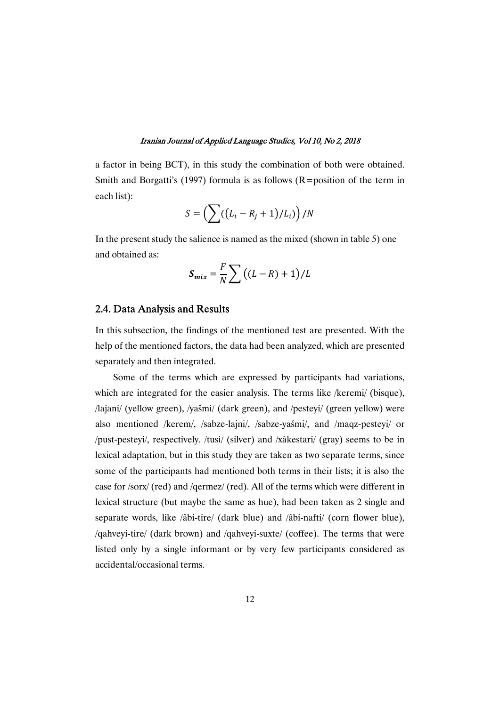a factor in being BCT), in this study the combination of both were obtained. Smith and Borgatti's (1997) formula is as follows ( $R =$  position of the term in each list):

$$
S = \left(\sum \left(\left(L_i - R_j + 1\right)/L_i\right)\right)/N
$$

In the present study the salience is named as the mixed (shown in table 5) one and obtained as:

$$
S_{mix} = \frac{F}{N} \sum \left( (L - R) + 1 \right) / L
$$

### 2.4. Data Analysis and Results

In this subsection, the findings of the mentioned test are presented. With the help of the mentioned factors, the data had been analyzed, which are presented separately and then integrated.

Some of the terms which are expressed by participants had variations, which are integrated for the easier analysis. The terms like /keremi/ (bisque), /lajani/ (yellow green), /yašmi/ (dark green), and /pesteyi/ (green yellow) were also mentioned /kerem/, /sabze-lajni/, /sabze-yašmi/, and /maqz-pesteyi/ or /pust-pesteyi/, respectively. /tusi/ (silver) and /xâkestari/ (gray) seems to be in lexical adaptation, but in this study they are taken as two separate terms, since some of the participants had mentioned both terms in their lists; it is also the case for /sorx/ (red) and /qermez/ (red). All of the terms which were different in lexical structure (but maybe the same as hue), had been taken as 2 single and separate words, like /âbi-tire/ (dark blue) and /âbi-nafti/ (corn flower blue), /qahveyi-tire/ (dark brown) and /qahveyi-suxte/ (coffee). The terms that were listed only by a single informant or by very few participants considered as accidental/occasional terms.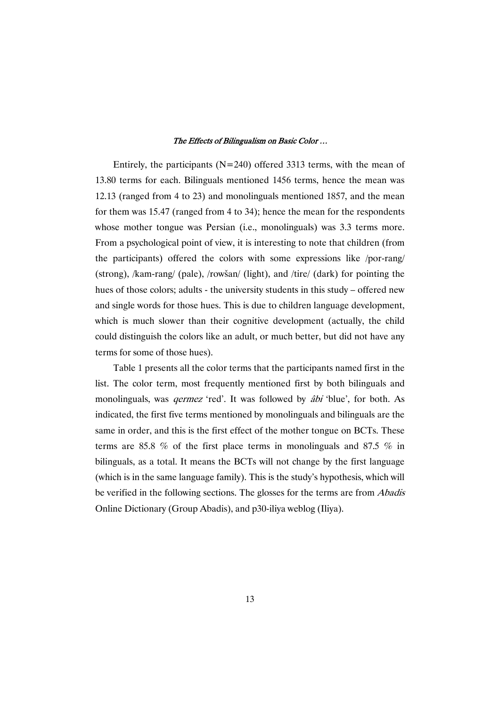Entirely, the participants ( $N=240$ ) offered 3313 terms, with the mean of 13.80 terms for each. Bilinguals mentioned 1456 terms, hence the mean was 12.13 (ranged from 4 to 23) and monolinguals mentioned 1857, and the mean for them was  $15.47$  (ranged from 4 to 34); hence the mean for the respondents whose mother tongue was Persian (i.e., monolinguals) was 3.3 terms more. From a psychological point of view, it is interesting to note that children (from the participants) offered the colors with some expressions like /por-rang/ (strong), /kam-rang/(pale), /rowšan/(light), and /tire/(dark) for pointing the hues of those colors; adults - the university students in this study – offered new and single words for those hues. This is due to children language development, which is much slower than their cognitive development (actually, the child could distinguish the colors like an adult, or much better, but did not have any terms for some of those hues).

Table 1 presents all the color terms that the participants named first in the list. The color term, most frequently mentioned first by both bilinguals and monolinguals, was *germez* 'red'. It was followed by *âbi* 'blue', for both. As indicated, the first five terms mentioned by monolinguals and bilinguals are the same in order, and this is the first effect of the mother tongue on BCTs. These terms are 85.8 % of the first place terms in monolinguals and 87.5 % in bilinguals, as a total. It means the BCTs will not change by the first language (which is in the same language family). This is the study's hypothesis, which will be verified in the following sections. The glosses for the terms are from *Abadis* Online Dictionary (Group Abadis), and p30-iliya weblog (Iliya).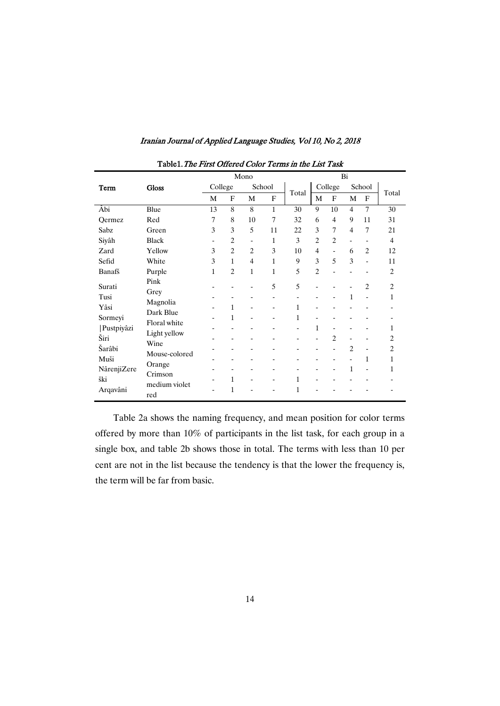| Table1. The First Offered Color Terms in the List Task |                                      |                          |                |                |                               |                          |                                       |                                                |                                          |                          |                     |
|--------------------------------------------------------|--------------------------------------|--------------------------|----------------|----------------|-------------------------------|--------------------------|---------------------------------------|------------------------------------------------|------------------------------------------|--------------------------|---------------------|
|                                                        |                                      |                          |                | Mono           |                               |                          |                                       |                                                | Bi                                       |                          |                     |
| Term                                                   | <b>Gloss</b>                         | College                  |                |                | School                        |                          | College                               |                                                | School                                   |                          |                     |
|                                                        |                                      | M                        | F              | M              | F                             | Total                    | M                                     | F                                              | M                                        | F                        | Total               |
| Âbi                                                    | Blue                                 | 13                       | 8              | 8              | $\mathbf{1}$                  | 30                       | 9                                     | 10                                             | $\overline{4}$                           | $\overline{7}$           | 30                  |
| Oermez                                                 | Red                                  | 7                        | 8              | 10             | 7                             | 32                       | 6                                     | $\overline{4}$                                 | 9                                        | 11                       | 31                  |
| Sabz                                                   | Green                                | 3                        | 3              | 5              | 11                            | 22                       | 3                                     | 7                                              | 4                                        | 7                        | 21                  |
| Siyâh                                                  | <b>Black</b>                         | $\overline{\phantom{a}}$ | $\overline{2}$ | -              | 1                             | 3                        | $\overline{c}$                        | $\overline{c}$                                 | $\overline{\phantom{a}}$                 | $\overline{\phantom{a}}$ | $\overline{4}$      |
| Zard                                                   | Yellow                               | 3                        | $\overline{c}$ | $\overline{c}$ | 3                             | 10                       | 4                                     | $\blacksquare$                                 | 6                                        | $\overline{2}$           | 12                  |
| Sefid                                                  | White                                | 3                        | $\mathbf{1}$   | $\overline{4}$ | $\mathbf 1$                   | 9                        | 3                                     | 5                                              | 3                                        | -                        | 11                  |
| Banafš                                                 | Purple                               | 1                        | $\overline{c}$ | 1              | 1                             | 5                        | $\overline{c}$                        | L,                                             | $\overline{a}$                           |                          | $\overline{c}$      |
| Surati<br>Tusi<br>Yâsi                                 | Pink<br>Grey<br>Magnolia             |                          | 1              |                | 5<br>$\overline{\phantom{0}}$ | 5<br>$\blacksquare$<br>1 | $\overline{a}$<br>$\overline{a}$<br>- | $\overline{\phantom{a}}$                       | $\mathbf{1}$                             | $\overline{c}$           | $\overline{c}$<br>1 |
| Sormeyi                                                | Dark Blue                            |                          | 1              | -              | $\overline{\phantom{0}}$      | 1                        | $\overline{a}$                        |                                                |                                          |                          |                     |
| Pustpiyâzi<br>Širi                                     | Floral white<br>Light yellow<br>Wine |                          | $\overline{a}$ |                | -                             | $\blacksquare$           | 1<br>$\overline{a}$                   | $\blacksquare$<br>$\overline{c}$               | $\overline{\phantom{a}}$                 | -                        | 1<br>$\overline{c}$ |
| Šarâbi                                                 | Mouse-colored                        |                          |                |                |                               |                          | $\overline{\phantom{0}}$              |                                                | $\overline{2}$                           | -                        | $\overline{c}$      |
| Muši<br>NârenjiZere                                    | Orange<br>Crimson                    |                          | -              |                | -                             |                          | -<br>$\overline{a}$                   | $\qquad \qquad \blacksquare$<br>$\blacksquare$ | $\overline{\phantom{a}}$<br>$\mathbf{1}$ | 1<br>-                   | 1<br>1              |
| ški<br>Arqavâni                                        | medium violet<br>red                 |                          | 1<br>1         | -              | $\overline{\phantom{0}}$      | 1<br>1                   | -                                     | $\overline{\phantom{a}}$                       | $\overline{\phantom{a}}$                 | -                        |                     |

Table 2a shows the naming frequency, and mean position for color terms offered by more than 10% of participants in the list task, for each group in a single box, and table 2b shows those in total. The terms with less than 10 per cent are not in the list because the tendency is that the lower the frequency is, the term will be far from basic.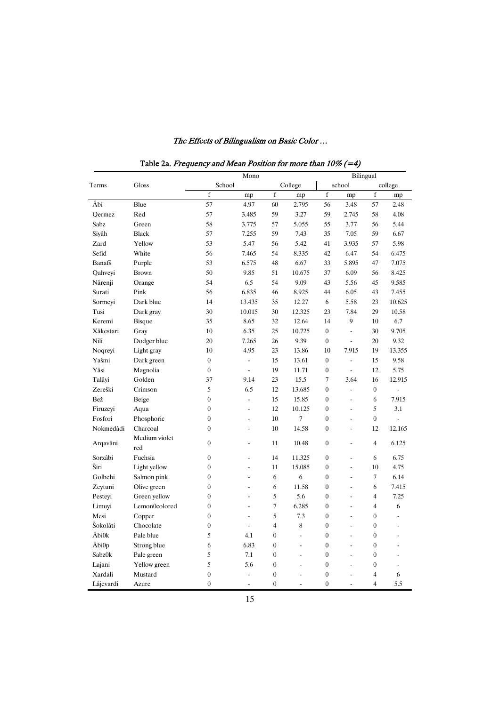|                   |                      |                  | Mono                     |                  |                |                  | Bilingual      |                  |                |
|-------------------|----------------------|------------------|--------------------------|------------------|----------------|------------------|----------------|------------------|----------------|
| Terms             | Gloss                | School           |                          |                  | College        |                  | school         |                  | college        |
|                   |                      | $\mathbf f$      | mp                       | $\mathbf f$      | mp             | $\mathbf f$      | mp             | $\mathbf f$      | mp             |
| Âbi               | Blue                 | 57               | 4.97                     | 60               | 2.795          | 56               | 3.48           | 57               | 2.48           |
| Oermez            | Red                  | 57               | 3.485                    | 59               | 3.27           | 59               | 2.745          | 58               | 4.08           |
| Sabz              | Green                | 58               | 3.775                    | 57               | 5.055          | 55               | 3.77           | 56               | 5.44           |
| Siyâh             | <b>Black</b>         | 57               | 7.255                    | 59               | 7.43           | 35               | 7.05           | 59               | 6.67           |
| Zard              | Yellow               | 53               | 5.47                     | 56               | 5.42           | 41               | 3.935          | 57               | 5.98           |
| Sefid             | White                | 56               | 7.465                    | 54               | 8.335          | 42               | 6.47           | 54               | 6.475          |
| Banafš            | Purple               | 53               | 6.575                    | 48               | 6.67           | 33               | 5.895          | 47               | 7.075          |
| Qahveyi           | <b>Brown</b>         | 50               | 9.85                     | 51               | 10.675         | 37               | 6.09           | 56               | 8.425          |
| Nârenji           | Orange               | 54               | 6.5                      | 54               | 9.09           | 43               | 5.56           | 45               | 9.585          |
| Surati            | Pink                 | 56               | 6.835                    | 46               | 8.925          | 44               | 6.05           | 43               | 7.455          |
| Sormeyi           | Dark blue            | 14               | 13.435                   | 35               | 12.27          | 6                | 5.58           | 23               | 10.625         |
| Tusi              | Dark gray            | 30               | 10.015                   | 30               | 12.325         | 23               | 7.84           | 29               | 10.58          |
| Keremi            | Bisque               | 35               | 8.65                     | 32               | 12.64          | 14               | 9              | 10               | 6.7            |
| Xâkestari         | Gray                 | 10               | 6.35                     | 25               | 10.725         | $\overline{0}$   | $\blacksquare$ | 30               | 9.705          |
| Nili              | Dodger blue          | 20               | 7.265                    | 26               | 9.39           | $\mathbf{0}$     | $\overline{a}$ | 20               | 9.32           |
| Noqreyi           | Light gray           | 10               | 4.95                     | 23               | 13.86          | 10               | 7.915          | 19               | 13.355         |
| Yašmi             | Dark green           | $\boldsymbol{0}$ | $\overline{a}$           | 15               | 13.61          | $\mathbf{0}$     | ÷,             | 15               | 9.58           |
| Yâsi              | Magnolia             | $\boldsymbol{0}$ | $\overline{a}$           | 19               | 11.71          | $\theta$         | $\overline{a}$ | 12               | 5.75           |
| Talâyi            | Golden               | 37               | 9.14                     | 23               | 15.5           | 7                | 3.64           | 16               | 12.915         |
| Zereški           | Crimson              | 5                | 6.5                      | 12               | 13.685         | $\overline{0}$   | $\overline{a}$ | $\overline{0}$   | $\overline{a}$ |
| Bež               | Beige                | $\boldsymbol{0}$ | $\frac{1}{2}$            | 15               | 15.85          | $\boldsymbol{0}$ | $\overline{a}$ | 6                | 7.915          |
| Firuzeyi          | Aqua                 | $\boldsymbol{0}$ | ÷,                       | 12               | 10.125         | $\mathbf{0}$     | $\overline{a}$ | 5                | 3.1            |
| Fosfori           | Phosphoric           | $\boldsymbol{0}$ | ÷                        | 10               | 7              | $\overline{0}$   | ÷              | $\boldsymbol{0}$ | L.             |
| Nokmedâdi         | Charcoal             | $\boldsymbol{0}$ | ÷,                       | 10               | 14.58          | $\boldsymbol{0}$ | ÷,             | 12               | 12.165         |
| Arqavâni          | Medium violet<br>red | $\boldsymbol{0}$ | $\overline{a}$           | 11               | 10.48          | $\boldsymbol{0}$ | $\overline{a}$ | $\overline{4}$   | 6.125          |
| Sorxâbi           | Fuchsia              | $\boldsymbol{0}$ | ÷,                       | 14               | 11.325         | $\mathbf{0}$     | ÷.             | 6                | 6.75           |
| Ŝiri              | Light yellow         | $\boldsymbol{0}$ | ÷,                       | 11               | 15.085         | $\boldsymbol{0}$ | ÷,             | 10               | 4.75           |
| Golbehi           | Salmon pink          | $\overline{0}$   | $\overline{a}$           | 6                | 6              | $\boldsymbol{0}$ | $\overline{a}$ | $\overline{7}$   | 6.14           |
| Zeytuni           | Olive green          | $\boldsymbol{0}$ | ÷,                       | 6                | 11.58          | $\boldsymbol{0}$ | ÷,             | 6                | 7.415          |
| Pesteyi           | Green yellow         | $\overline{0}$   |                          | 5                | 5.6            | $\overline{0}$   | $\overline{a}$ | $\overline{4}$   | 7.25           |
| Limuyi            | Lemon0colored        | $\boldsymbol{0}$ | ÷,                       | $\tau$           | 6.285          | $\boldsymbol{0}$ | $\overline{a}$ | $\overline{4}$   | 6              |
| Mesi              | Copper               | $\boldsymbol{0}$ | $\overline{a}$           | 5                | 7.3            | $\boldsymbol{0}$ | ÷.             | $\boldsymbol{0}$ | L.             |
| Šokolâti          | Chocolate            | $\boldsymbol{0}$ | $\overline{\phantom{a}}$ | $\overline{4}$   | 8              | $\overline{0}$   | ÷              | $\boldsymbol{0}$ | ÷              |
| <b>Abi0k</b>      | Pale blue            | 5                | 4.1                      | $\boldsymbol{0}$ | ÷,             | $\boldsymbol{0}$ | ÷,             | $\boldsymbol{0}$ | ä,             |
| Åbi0 <sub>p</sub> | Strong blue          | 6                | 6.83                     | $\overline{0}$   | $\overline{a}$ | $\boldsymbol{0}$ | $\overline{a}$ | $\boldsymbol{0}$ | $\blacksquare$ |
| Sabz0k            | Pale green           | 5                | 7.1                      | $\overline{0}$   | ÷,             | $\mathbf{0}$     | ÷,             | $\boldsymbol{0}$ |                |
| Lajani            | Yellow green         | 5                | 5.6                      | $\boldsymbol{0}$ | ÷,             | $\boldsymbol{0}$ | ÷,             | $\boldsymbol{0}$ | ä,             |
| Xardali           | Mustard              | $\boldsymbol{0}$ | $\overline{a}$           | $\overline{0}$   | $\overline{a}$ | $\overline{0}$   | $\overline{a}$ | $\overline{4}$   | 6              |
| Lâjevardi         | Azure                | $\theta$         | $\blacksquare$           | $\theta$         | $\overline{a}$ | $\theta$         | $\overline{a}$ | 4                | 5.5            |

Table 2a. Frequency and Mean Position for more than  $10\%$  (=4)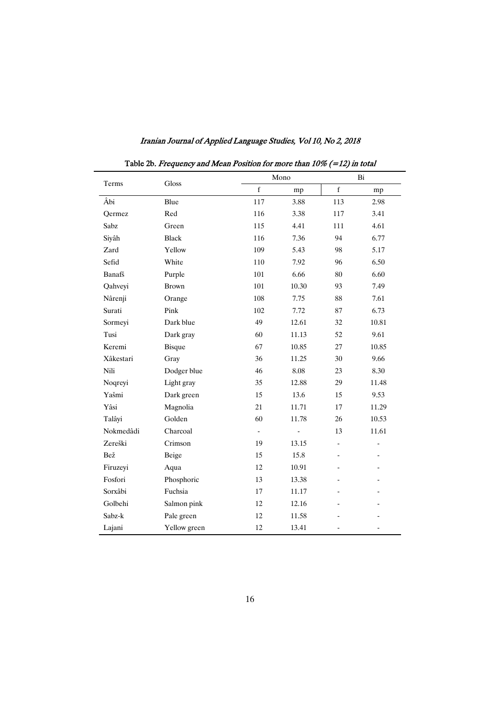| Terms     | Gloss         |                          | Mono  | Bi                       |                          |  |
|-----------|---------------|--------------------------|-------|--------------------------|--------------------------|--|
|           |               | $\mathbf f$              | mp    | $\mathbf f$              | mp                       |  |
| Âbi       | Blue          | 117                      | 3.88  | 113                      | 2.98                     |  |
| Oermez    | Red           | 116                      | 3.38  | 117                      | 3.41                     |  |
| Sabz      | Green         | 115                      | 4.41  | 111                      | 4.61                     |  |
| Siyâh     | <b>Black</b>  | 116                      | 7.36  | 94                       | 6.77                     |  |
| Zard      | Yellow        | 109                      | 5.43  | 98                       | 5.17                     |  |
| Sefid     | White         | 110                      | 7.92  | 96                       | 6.50                     |  |
| Banafš    | Purple        | 101                      | 6.66  | 80                       | 6.60                     |  |
| Qahveyi   | <b>Brown</b>  | 101                      | 10.30 | 93                       | 7.49                     |  |
| Nârenji   | Orange        | 108                      | 7.75  | 88                       | 7.61                     |  |
| Surati    | Pink          | 102                      | 7.72  | 87                       | 6.73                     |  |
| Sormeyi   | Dark blue     | 49                       | 12.61 | 32                       | 10.81                    |  |
| Tusi      | Dark gray     | 60                       | 11.13 | 52                       | 9.61                     |  |
| Keremi    | <b>Bisque</b> | 67                       | 10.85 | 27                       | 10.85                    |  |
| Xâkestari | Gray          | 36                       | 11.25 | 30                       | 9.66                     |  |
| Nili      | Dodger blue   | 46                       | 8.08  | 23                       | 8.30                     |  |
| Noqreyi   | Light gray    | 35                       | 12.88 | 29                       | 11.48                    |  |
| Yašmi     | Dark green    | 15                       | 13.6  | 15                       | 9.53                     |  |
| Yâsi      | Magnolia      | 21                       | 11.71 | 17                       | 11.29                    |  |
| Talâyi    | Golden        | 60                       | 11.78 | 26                       | 10.53                    |  |
| Nokmedâdi | Charcoal      | $\overline{\phantom{a}}$ |       | 13                       | 11.61                    |  |
| Zereški   | Crimson       | 19                       | 13.15 | $\overline{\phantom{a}}$ | $\overline{\phantom{0}}$ |  |
| Bež       | Beige         | 15                       | 15.8  | $\overline{\phantom{a}}$ | $\overline{\phantom{a}}$ |  |
| Firuzeyi  | Aqua          | 12                       | 10.91 |                          |                          |  |
| Fosfori   | Phosphoric    | 13                       | 13.38 |                          |                          |  |
| Sorxâbi   | Fuchsia       | 17                       | 11.17 |                          |                          |  |
| Golbehi   | Salmon pink   | 12                       | 12.16 |                          |                          |  |
| Sabz-k    | Pale green    | 12                       | 11.58 |                          |                          |  |
| Lajani    | Yellow green  | 12                       | 13.41 | $\overline{a}$           | $\overline{\phantom{0}}$ |  |

Iranian Journal of Applied Language Studies, Vol 10, No 2, 2018

Table 2b. Frequency and Mean Position for more than  $10\%$  (=12) in total

16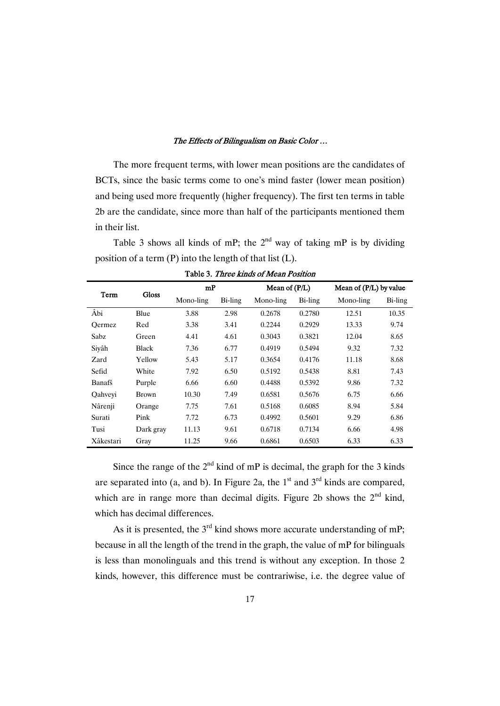The more frequent terms, with lower mean positions are the candidates of BCTs, since the basic terms come to one's mind faster (lower mean position) and being used more frequently (higher frequency). The first ten terms in table 2b are the candidate, since more than half of the participants mentioned them in their list.

Table 3 shows all kinds of mP; the  $2^{nd}$  way of taking mP is by dividing position of a term  $(P)$  into the length of that list  $(L)$ .

|           |              | mP        |         | Mean of $(P/L)$ |         |           | Mean of $(P/L)$ by value |  |  |
|-----------|--------------|-----------|---------|-----------------|---------|-----------|--------------------------|--|--|
| Term      | <b>Gloss</b> | Mono-ling | Bi-ling | Mono-ling       | Bi-ling | Mono-ling | Bi-ling                  |  |  |
| Âbi       | Blue         | 3.88      | 2.98    | 0.2678          | 0.2780  | 12.51     | 10.35                    |  |  |
| Oermez    | Red          | 3.38      | 3.41    | 0.2244          | 0.2929  | 13.33     | 9.74                     |  |  |
| Sabz      | Green        | 4.41      | 4.61    | 0.3043          | 0.3821  | 12.04     | 8.65                     |  |  |
| Siyâh     | Black        | 7.36      | 6.77    | 0.4919          | 0.5494  | 9.32      | 7.32                     |  |  |
| Zard      | Yellow       | 5.43      | 5.17    | 0.3654          | 0.4176  | 11.18     | 8.68                     |  |  |
| Sefid     | White        | 7.92      | 6.50    | 0.5192          | 0.5438  | 8.81      | 7.43                     |  |  |
| Banafš    | Purple       | 6.66      | 6.60    | 0.4488          | 0.5392  | 9.86      | 7.32                     |  |  |
| Oahvevi   | <b>Brown</b> | 10.30     | 7.49    | 0.6581          | 0.5676  | 6.75      | 6.66                     |  |  |
| Nârenji   | Orange       | 7.75      | 7.61    | 0.5168          | 0.6085  | 8.94      | 5.84                     |  |  |
| Surati    | Pink         | 7.72      | 6.73    | 0.4992          | 0.5601  | 9.29      | 6.86                     |  |  |
| Tusi      | Dark gray    | 11.13     | 9.61    | 0.6718          | 0.7134  | 6.66      | 4.98                     |  |  |
| Xâkestari | Gray         | 11.25     | 9.66    | 0.6861          | 0.6503  | 6.33      | 6.33                     |  |  |

Table 3. Three kinds of Mean Position

Since the range of the  $2<sup>nd</sup>$  kind of mP is decimal, the graph for the 3 kinds are separated into (a, and b). In Figure 2a, the  $1<sup>st</sup>$  and  $3<sup>rd</sup>$  kinds are compared, which are in range more than decimal digits. Figure 2b shows the  $2<sup>nd</sup>$  kind, which has decimal differences.

As it is presented, the  $3<sup>rd</sup>$  kind shows more accurate understanding of mP; because in all the length of the trend in the graph, the value of mP for bilinguals is less than monolinguals and this trend is without any exception. In those 2 kinds, however, this difference must be contrariwise, i.e. the degree value of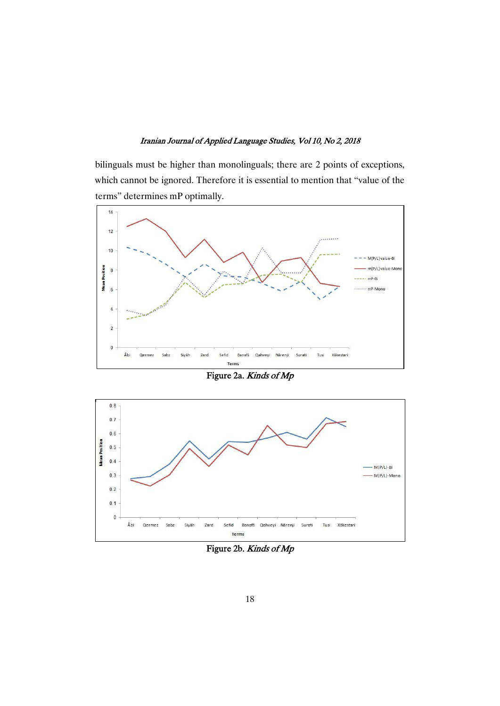bilinguals must be higher than monolinguals; there are 2 points of exceptions, which cannot be ignored. Therefore it is essential to mention that "value of the terms" determines mP optimally.



Figure 2a. Kinds of Mp



Figure 2b. Kinds of Mp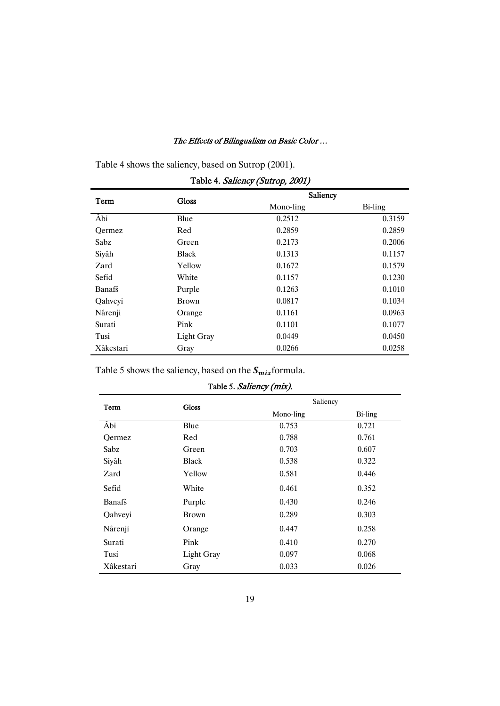Table 4 shows the saliency, based on Sutrop (2001).

|           |                   | Saliency  |         |
|-----------|-------------------|-----------|---------|
| Term      | <b>Gloss</b>      | Mono-ling | Bi-ling |
| Âbi       | Blue              | 0.2512    | 0.3159  |
| Oermez    | Red               | 0.2859    | 0.2859  |
| Sabz      | Green             | 0.2173    | 0.2006  |
| Siyâh     | <b>Black</b>      | 0.1313    | 0.1157  |
| Zard      | Yellow            | 0.1672    | 0.1579  |
| Sefid     | White             | 0.1157    | 0.1230  |
| Banafš    | Purple            | 0.1263    | 0.1010  |
| Qahveyi   | <b>Brown</b>      | 0.0817    | 0.1034  |
| Nârenji   | Orange            | 0.1161    | 0.0963  |
| Surati    | Pink              | 0.1101    | 0.1077  |
| Tusi      | <b>Light Gray</b> | 0.0449    | 0.0450  |
| Xâkestari | Gray              | 0.0266    | 0.0258  |

| Table 4. Saliency (Sutrop, 2001) |  |  |  |  |  |
|----------------------------------|--|--|--|--|--|
|----------------------------------|--|--|--|--|--|

Table 5 shows the saliency, based on the  $S_{mix}$  formula.

| Table 5. Saliency (mix).         |                   |           |         |  |  |  |  |  |  |  |
|----------------------------------|-------------------|-----------|---------|--|--|--|--|--|--|--|
| Saliency<br><b>Gloss</b><br>Term |                   |           |         |  |  |  |  |  |  |  |
|                                  |                   | Mono-ling | Bi-ling |  |  |  |  |  |  |  |
| Âbi                              | Blue              | 0.753     | 0.721   |  |  |  |  |  |  |  |
| Oermez                           | Red               | 0.788     | 0.761   |  |  |  |  |  |  |  |
| Sabz                             | Green             | 0.703     | 0.607   |  |  |  |  |  |  |  |
| Siyâh                            | <b>Black</b>      | 0.538     | 0.322   |  |  |  |  |  |  |  |
| Zard                             | Yellow            | 0.581     | 0.446   |  |  |  |  |  |  |  |
| Sefid                            | White             | 0.461     | 0.352   |  |  |  |  |  |  |  |
| Banafš                           | Purple            | 0.430     | 0.246   |  |  |  |  |  |  |  |
| Qahveyi                          | <b>Brown</b>      | 0.289     | 0.303   |  |  |  |  |  |  |  |
| Nârenji                          | Orange            | 0.447     | 0.258   |  |  |  |  |  |  |  |
| Surati                           | Pink              | 0.410     | 0.270   |  |  |  |  |  |  |  |
| Tusi                             | <b>Light Gray</b> | 0.097     | 0.068   |  |  |  |  |  |  |  |
| Xâkestari                        | Gray              | 0.033     | 0.026   |  |  |  |  |  |  |  |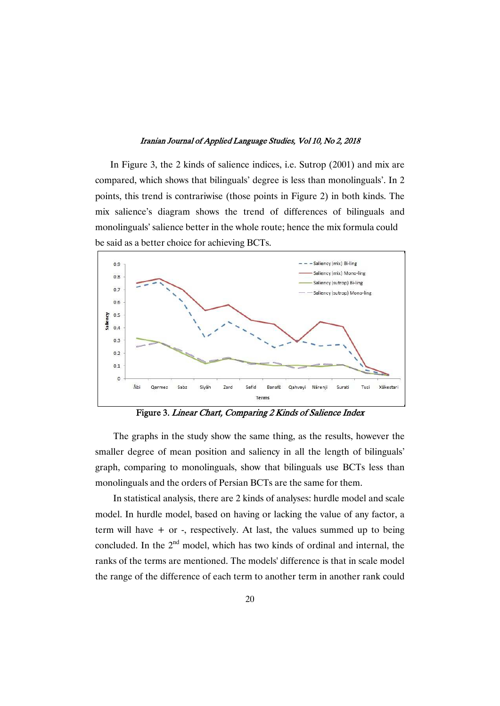In Figure 3, the 2 kinds of salience indices, i.e. Sutrop  $(2001)$  and mix are compared, which shows that bilinguals' degree is less than monolinguals'. In 2 points, this trend is contrariwise (those points in Figure 2) in both kinds. The mix salience's diagram shows the trend of differences of bilinguals and monolinguals' salience better in the whole route; hence the mix formula could be said as a better choice for achieving BCTs.



Figure 3. Linear Chart, Comparing 2 Kinds of Salience Index

The graphs in the study show the same thing, as the results, however the smaller degree of mean position and saliency in all the length of bilinguals' graph, comparing to monolinguals, show that bilinguals use BCTs less than monolinguals and the orders of Persian BCTs are the same for them.

In statistical analysis, there are 2 kinds of analyses: hurdle model and scale model. In hurdle model, based on having or lacking the value of any factor, a term will have + or -, respectively. At last, the values summed up to being concluded. In the  $2<sup>nd</sup>$  model, which has two kinds of ordinal and internal, the ranks of the terms are mentioned. The models' difference is that in scale model the range of the difference of each term to another term in another rank could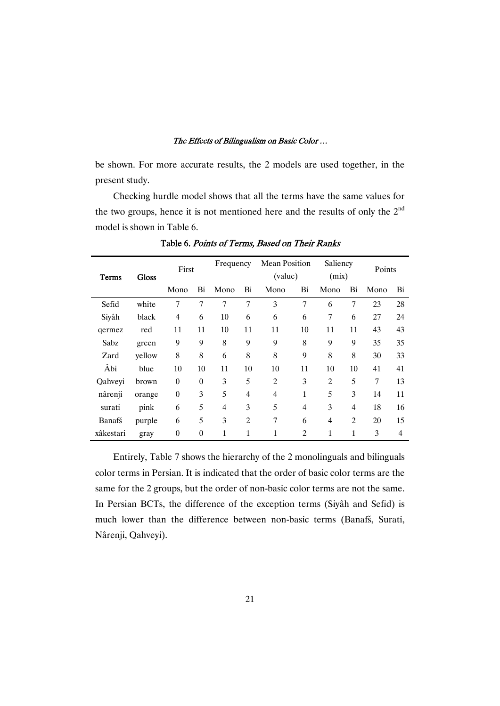be shown. For more accurate results, the 2 models are used together, in the present study.

Checking hurdle model shows that all the terms have the same values for the two groups, hence it is not mentioned here and the results of only the 2<sup>nd</sup> model is shown in Table 6.

| <b>Gloss</b><br>Terms |        | First            |                | Frequency      |                | Mean Position<br>(value) |                | Saliency<br>(mix) |                | Points |                |
|-----------------------|--------|------------------|----------------|----------------|----------------|--------------------------|----------------|-------------------|----------------|--------|----------------|
|                       |        | Mono             | Bi             | Mono           | Bi             | Mono                     | Bi             | Mono              | Bi             | Mono   | Bi             |
| Sefid                 | white  | 7                | $\overline{7}$ | $\overline{7}$ | $\overline{7}$ | 3                        | $\overline{7}$ | 6                 | $\overline{7}$ | 23     | 28             |
| Siyâh                 | black  | $\overline{4}$   | 6              | 10             | 6              | 6                        | 6              | $\tau$            | 6              | 27     | 24             |
| qermez                | red    | 11               | 11             | 10             | 11             | 11                       | 10             | 11                | 11             | 43     | 43             |
| Sabz                  | green  | 9                | 9              | 8              | 9              | 9                        | 8              | 9                 | 9              | 35     | 35             |
| Zard                  | yellow | 8                | 8              | 6              | 8              | 8                        | 9              | 8                 | 8              | 30     | 33             |
| Âbi                   | blue   | 10               | 10             | 11             | 10             | 10                       | 11             | 10                | 10             | 41     | 41             |
| Qahveyi               | brown  | $\theta$         | $\overline{0}$ | 3              | 5              | $\overline{2}$           | 3              | $\overline{2}$    | 5              | 7      | 13             |
| nârenji               | orange | $\theta$         | 3              | 5              | $\overline{4}$ | $\overline{4}$           | 1              | 5                 | 3              | 14     | 11             |
| surati                | pink   | 6                | 5              | $\overline{4}$ | 3              | 5                        | $\overline{4}$ | 3                 | $\overline{4}$ | 18     | 16             |
| Banafš                | purple | 6                | 5              | 3              | $\overline{2}$ | 7                        | 6              | $\overline{4}$    | $\overline{2}$ | 20     | 15             |
| xâkestari             | gray   | $\boldsymbol{0}$ | $\overline{0}$ | 1              | 1              | 1                        | $\overline{2}$ | 1                 | 1              | 3      | $\overline{4}$ |

Table 6. Points of Terms, Based on Their Ranks

Entirely, Table 7 shows the hierarchy of the 2 monolinguals and bilinguals color terms in Persian. It is indicated that the order of basic color terms are the same for the 2 groups, but the order of non-basic color terms are not the same. In Persian BCTs, the difference of the exception terms (Siyâh and Sefid) is much lower than the difference between non-basic terms (Banafš, Surati, Nârenji, Qahveyi).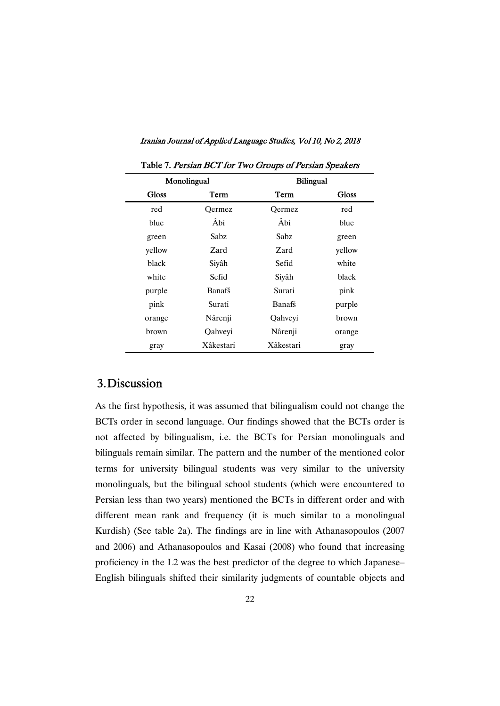|              | Monolingual | <b>Bilingual</b> |        |  |  |  |
|--------------|-------------|------------------|--------|--|--|--|
| <b>Gloss</b> | Term        | Term             | Gloss  |  |  |  |
| red          | Oermez      | Oermez           | red    |  |  |  |
| blue         | Âbi         | Âbi              | blue   |  |  |  |
| green        | Sabz        | Sabz             | green  |  |  |  |
| yellow       | Zard        | Zard             | yellow |  |  |  |
| black        | Siyâh       | Sefid            | white  |  |  |  |
| white        | Sefid       | Siyâh            | black  |  |  |  |
| purple       | Banafš      | Surati           | pink   |  |  |  |
| pink         | Surati      | Banafš           | purple |  |  |  |
| orange       | Nârenji     | Qahveyi          | brown  |  |  |  |
| brown        | Qahveyi     | Nârenji          | orange |  |  |  |
| gray         | Xâkestari   | Xâkestari        | gray   |  |  |  |

Table 7. Persian BCT for Two Groups of Persian Speakers

## 3.Discussion

As the first hypothesis, it was assumed that bilingualism could not change the BCTs order in second language. Our findings showed that the BCTs order is not affected by bilingualism, i.e. the BCTs for Persian monolinguals and bilinguals remain similar. The pattern and the number of the mentioned color terms for university bilingual students was very similar to the university monolinguals, but the bilingual school students (which were encountered to Persian less than two years) mentioned the BCTs in different order and with different mean rank and frequency (it is much similar to a monolingual Kurdish) (See table 2a). The findings are in line with Athanasopoulos (2007 and 2006) and Athanasopoulos and Kasai (2008) who found that increasing proficiency in the L2 was the best predictor of the degree to which Japanese– English bilinguals shifted their similarity judgments of countable objects and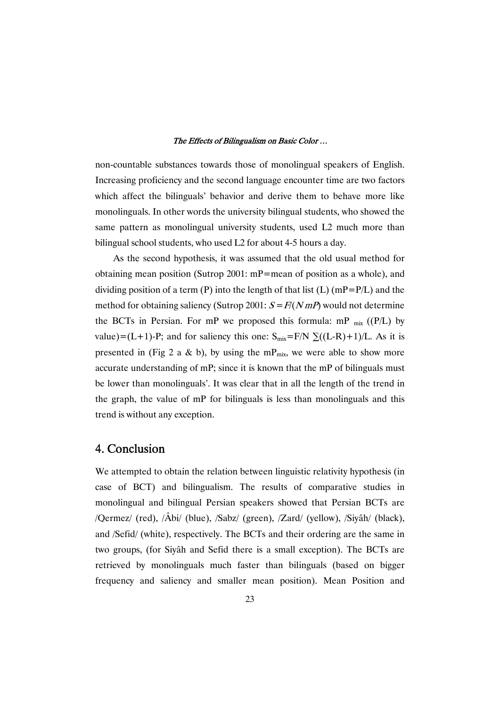non-countable substances towards those of monolingual speakers of English. Increasing proficiency and the second language encounter time are two factors which affect the bilinguals' behavior and derive them to behave more like monolinguals. In other words the university bilingual students, who showed the same pattern as monolingual university students, used L2 much more than bilingual school students, who used L2 for about 4-5 hours a day.

As the second hypothesis, it was assumed that the old usual method for obtaining mean position (Sutrop 2001:  $mP$ =mean of position as a whole), and dividing position of a term (P) into the length of that list (L) (mP=P/L) and the method for obtaining saliency (Sutrop 2001:  $S = F/(NmP)$  would not determine the BCTs in Persian. For mP we proposed this formula: mP  $_{mix}$  ((P/L) by value)=(L+1)-P; and for saliency this one:  $S_{mix} = F/N \sum((L-R)+1)/L$ . As it is presented in (Fig 2 a & b), by using the mP<sub>mix</sub>, we were able to show more accurate understanding of mP; since it is known that the mP of bilinguals must be lower than monolinguals'. It was clear that in all the length of the trend in the graph, the value of mP for bilinguals is less than monolinguals and this trend is without any exception.

## 4. Conclusion

We attempted to obtain the relation between linguistic relativity hypothesis (in case of BCT) and bilingualism. The results of comparative studies in monolingual and bilingual Persian speakers showed that Persian BCTs are /Qermez/ (red), /Âbi/ (blue), /Sabz/ (green), /Zard/ (yellow), /Siyâh/ (black), and /Sefid/ (white), respectively. The BCTs and their ordering are the same in two groups, (for Siyâh and Sefid there is a small exception). The BCTs are retrieved by monolinguals much faster than bilinguals (based on bigger frequency and saliency and smaller mean position). Mean Position and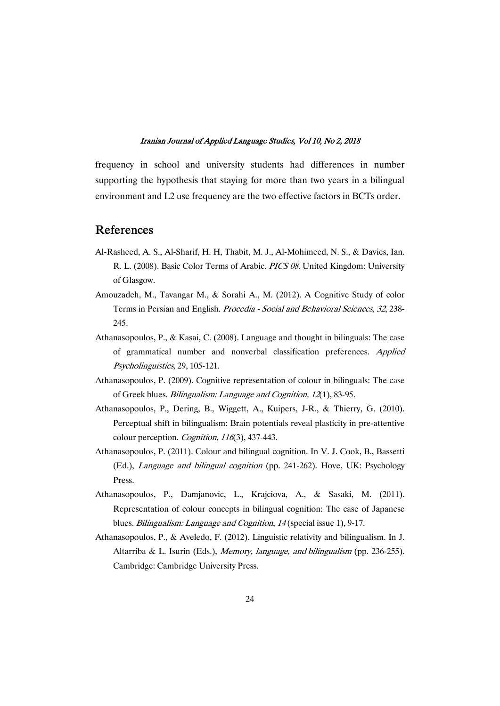frequency in school and university students had differences in number supporting the hypothesis that staying for more than two years in a bilingual environment and L2 use frequency are the two effective factors in BCTs order.

### References

- Al-Rasheed, A. S., Al-Sharif, H. H, Thabit, M. J., Al-Mohimeed, N. S., & Davies, Ian. R. L. (2008). Basic Color Terms of Arabic. PICS 08. United Kingdom: University of Glasgow.
- Amouzadeh, M., Tavangar M., & Sorahi A., M. (2012). A Cognitive Study of color Terms in Persian and English. Procedia - Social and Behavioral Sciences, 32, 238-245.
- Athanasopoulos, P., & Kasai, C. (2008). Language and thought in bilinguals: The case of grammatical number and nonverbal classification preferences. Applied Psycholinguistics,29,105-121.
- Athanasopoulos, P. (2009). Cognitive representation of colour in bilinguals: The case of Greek blues. Bilingualism: Language and Cognition, 12(1), 83-95.
- Athanasopoulos, P., Dering, B., Wiggett, A., Kuipers, J-R., & Thierry, G. (2010). Perceptual shift in bilingualism: Brain potentials reveal plasticity in pre-attentive colour perception. Cognition, 116(3), 437-443.
- Athanasopoulos, P. (2011). Colour and bilingual cognition. In V. J. Cook, B., Bassetti (Ed.), Language and bilingual cognition (pp. 241-262). Hove, UK: Psychology Press.
- Athanasopoulos, P., Damjanovic, L., Krajciova, A., & Sasaki, M. (2011). Representation of colour concepts in bilingual cognition: The case of Japanese blues. *Bilingualism: Language and Cognition*, 14 (special issue 1), 9-17.
- Athanasopoulos, P., & Aveledo, F. (2012). Linguistic relativity and bilingualism. In J. Altarriba & L. Isurin (Eds.), Memory, language, and bilingualism (pp. 236-255). Cambridge: Cambridge University Press.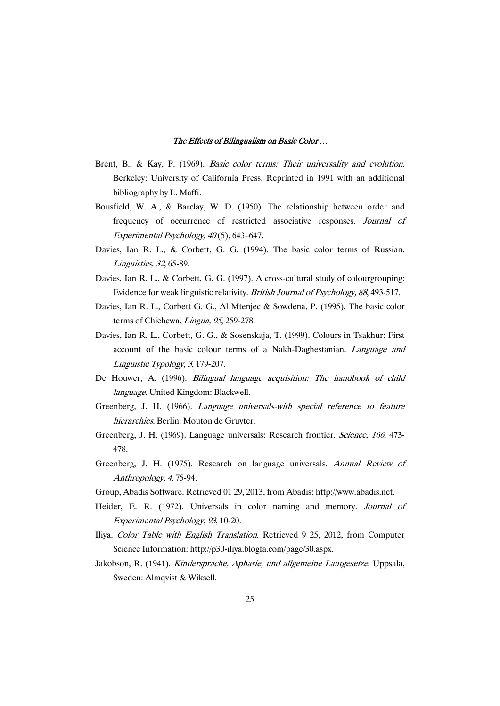- Brent, B., & Kay, P. (1969). Basic color terms: Their universality and evolution. Berkeley: University of California Press. Reprinted in 1991 with an additional bibliography by L. Maffi.
- Bousfield, W. A., & Barclay, W. D. (1950). The relationship between order and frequency of occurrence of restricted associative responses. Journal of Experimental Psychology,  $40(5)$ , 643–647.
- Davies, Ian R. L., & Corbett, G. G. (1994). The basic color terms of Russian. Linguistics, <sup>32</sup>,65-89.
- Davies, Ian R. L., & Corbett, G. G. (1997). A cross-cultural study of colourgrouping: Evidence for weak linguistic relativity. British Journal of Psychology, 88,493-517.
- Davies, Ian R. L., Corbett G. G., Al Mtenjec & Sowdena, P. (1995). The basic color terms of Chichewa. Lingua, 95, 259-278.
- Davies, Ian R. L., Corbett, G. G., & Sosenskaja, T. (1999). Colours in Tsakhur: First account of the basic colour terms of a Nakh-Daghestanian. Language and Linguistic Typology, 3, 179-207.
- De Houwer, A. (1996). Bilingual language acquisition: The handbook of child language. United Kingdom: Blackwell.
- Greenberg, J. H. (1966). Language universals-with special reference to feature hierarchies. Berlin: Mouton de Gruyter.
- Greenberg, J. H. (1969). Language universals: Research frontier. Science, <sup>166</sup>, 473- 478.
- Greenberg, J. H. (1975). Research on language universals. Annual Review of Anthropology, 4, 75-94.
- Group, Abadis Software. Retrieved 01 29, 2013, from Abadis: http://www.abadis.net.
- Heider, E. R. (1972). Universals in color naming and memory. Journal of Experimental Psychology, 93, 10-20.
- Iliya. Color Table with English Translation. Retrieved 9 25, 2012, from Computer Science Information: http://p30-iliya.blogfa.com/page/30.aspx.
- Jakobson, R. (1941). Kindersprache, Aphasie, und allgemeine Lautgesetze. Uppsala, Sweden: Almqvist & Wiksell.